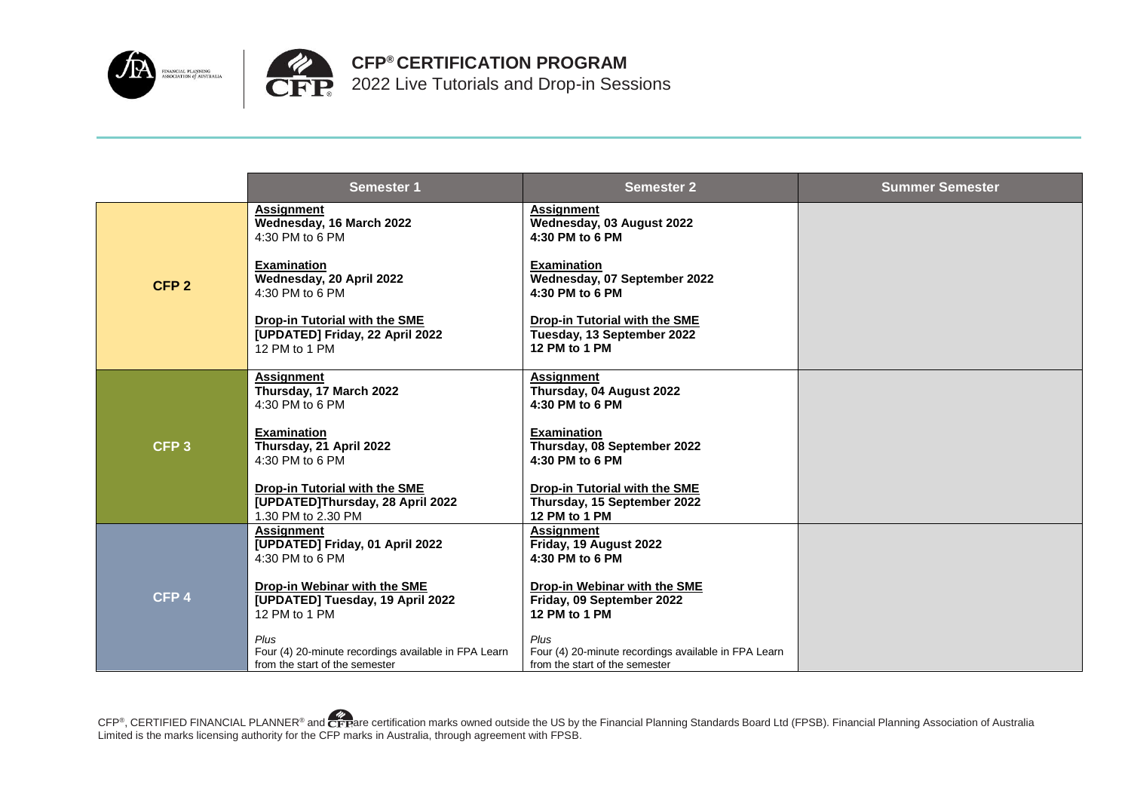



**CFP® CERTIFICATION PROGRAM** 2022 Live Tutorials and Drop-in Sessions

|                  | <b>Semester 1</b>                                                                              | <b>Semester 2</b>                                                                    | <b>Summer Semester</b> |
|------------------|------------------------------------------------------------------------------------------------|--------------------------------------------------------------------------------------|------------------------|
|                  | <b>Assignment</b><br>Wednesday, 16 March 2022<br>4:30 PM to 6 PM                               | <b>Assignment</b><br>Wednesday, 03 August 2022<br>4:30 PM to 6 PM                    |                        |
| CFP <sub>2</sub> | <b>Examination</b><br>Wednesday, 20 April 2022<br>4:30 PM to 6 PM                              | <b>Examination</b><br>Wednesday, 07 September 2022<br>4:30 PM to 6 PM                |                        |
|                  | <b>Drop-in Tutorial with the SME</b><br>[UPDATED] Friday, 22 April 2022<br>12 PM to 1 PM       | <b>Drop-in Tutorial with the SME</b><br>Tuesday, 13 September 2022<br>12 PM to 1 PM  |                        |
|                  | <b>Assignment</b><br>Thursday, 17 March 2022                                                   | <b>Assignment</b><br>Thursday, 04 August 2022                                        |                        |
|                  | 4:30 PM to 6 PM                                                                                | 4:30 PM to 6 PM                                                                      |                        |
| CFP <sub>3</sub> | <b>Examination</b><br>Thursday, 21 April 2022<br>4:30 PM to 6 PM                               | <b>Examination</b><br>Thursday, 08 September 2022<br>4:30 PM to 6 PM                 |                        |
|                  | <b>Drop-in Tutorial with the SME</b><br>[UPDATED]Thursday, 28 April 2022<br>1.30 PM to 2.30 PM | <b>Drop-in Tutorial with the SME</b><br>Thursday, 15 September 2022<br>12 PM to 1 PM |                        |
|                  | <b>Assignment</b><br>[UPDATED] Friday, 01 April 2022                                           | <b>Assignment</b><br>Friday, 19 August 2022                                          |                        |
| CFP <sub>4</sub> | 4:30 PM to 6 PM                                                                                | 4:30 PM to 6 PM                                                                      |                        |
|                  | Drop-in Webinar with the SME<br>[UPDATED] Tuesday, 19 April 2022                               | <b>Drop-in Webinar with the SME</b><br>Friday, 09 September 2022                     |                        |
|                  | 12 PM to 1 PM                                                                                  | 12 PM to 1 PM                                                                        |                        |
|                  | Plus<br>Four (4) 20-minute recordings available in FPA Learn                                   | Plus<br>Four (4) 20-minute recordings available in FPA Learn                         |                        |
|                  | from the start of the semester                                                                 | from the start of the semester                                                       |                        |

CFP®, CERTIFIED FINANCIAL PLANNER® and CFPare certification marks owned outside the US by the Financial Planning Standards Board Ltd (FPSB). Financial Planning Association of Australia Limited is the marks licensing authority for the CFP marks in Australia, through agreement with FPSB.